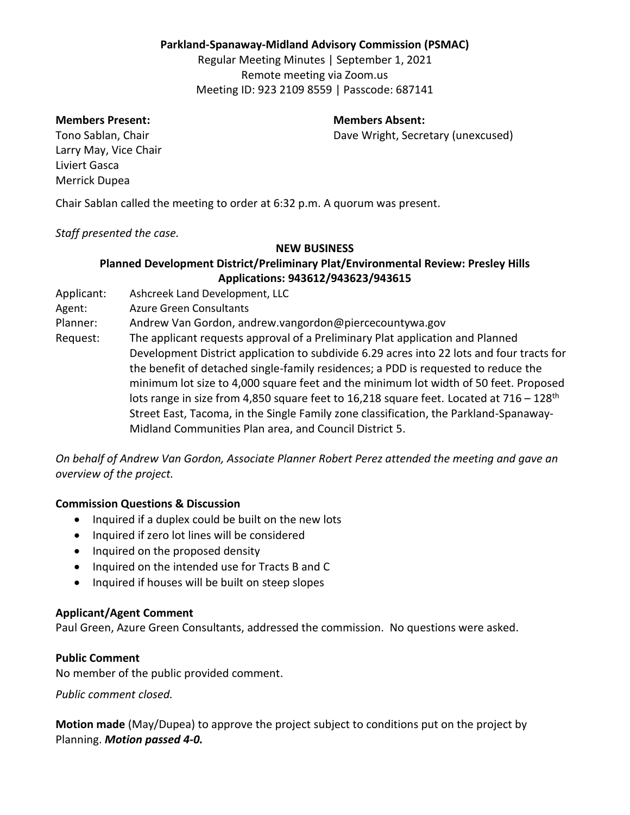### **Parkland-Spanaway-Midland Advisory Commission (PSMAC)**

Regular Meeting Minutes | September 1, 2021 Remote meeting via Zoom.us Meeting ID: 923 2109 8559 | Passcode: 687141

#### **Members Present: Members Absent:**

Tono Sablan, Chair **Dave Wright, Secretary (unexcused)** 

Larry May, Vice Chair Liviert Gasca Merrick Dupea

Chair Sablan called the meeting to order at 6:32 p.m. A quorum was present.

### *Staff presented the case.*

### **NEW BUSINESS**

## **Planned Development District/Preliminary Plat/Environmental Review: Presley Hills Applications: 943612/943623/943615**

- Applicant: Ashcreek Land Development, LLC
- Agent: Azure Green Consultants

Planner: Andrew Van Gordon, andrew.vangordon@piercecountywa.gov

Request: The applicant requests approval of a Preliminary Plat application and Planned Development District application to subdivide 6.29 acres into 22 lots and four tracts for the benefit of detached single-family residences; a PDD is requested to reduce the minimum lot size to 4,000 square feet and the minimum lot width of 50 feet. Proposed lots range in size from 4,850 square feet to 16,218 square feet. Located at  $716 - 128$ <sup>th</sup> Street East, Tacoma, in the Single Family zone classification, the Parkland-Spanaway-Midland Communities Plan area, and Council District 5.

*On behalf of Andrew Van Gordon, Associate Planner Robert Perez attended the meeting and gave an overview of the project.* 

## **Commission Questions & Discussion**

- Inquired if a duplex could be built on the new lots
- Inquired if zero lot lines will be considered
- Inquired on the proposed density
- Inquired on the intended use for Tracts B and C
- Inquired if houses will be built on steep slopes

### **Applicant/Agent Comment**

Paul Green, Azure Green Consultants, addressed the commission. No questions were asked.

### **Public Comment**

No member of the public provided comment.

*Public comment closed.*

**Motion made** (May/Dupea) to approve the project subject to conditions put on the project by Planning. *Motion passed 4-0.*